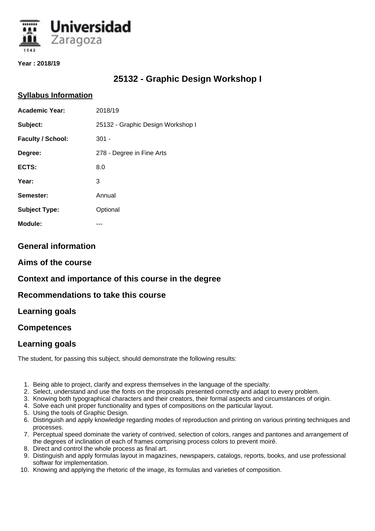

**Year : 2018/19**

# **25132 - Graphic Design Workshop I**

#### **Syllabus Information**

| <b>Academic Year:</b> | 2018/19                           |
|-----------------------|-----------------------------------|
| Subject:              | 25132 - Graphic Design Workshop I |
| Faculty / School:     | $301 -$                           |
| Degree:               | 278 - Degree in Fine Arts         |
| ECTS:                 | 8.0                               |
| Year:                 | 3                                 |
| Semester:             | Annual                            |
| <b>Subject Type:</b>  | Optional                          |
| Module:               |                                   |

### **General information**

### **Aims of the course**

## **Context and importance of this course in the degree**

### **Recommendations to take this course**

### **Learning goals**

### **Competences**

### **Learning goals**

The student, for passing this subject, should demonstrate the following results:

- 1. Being able to project, clarify and express themselves in the language of the specialty.
- 2. Select, understand and use the fonts on the proposals presented correctly and adapt to every problem.
- 3. Knowing both typographical characters and their creators, their formal aspects and circumstances of origin.
- 4. Solve each unit proper functionality and types of compositions on the particular layout.
- 5. Using the tools of Graphic Design.
- 6. Distinguish and apply knowledge regarding modes of reproduction and printing on various printing techniques and processes.
- 7. Perceptual speed dominate the variety of contrived, selection of colors, ranges and pantones and arrangement of the degrees of inclination of each of frames comprising process colors to prevent moiré.
- 8. Direct and control the whole process as final art.
- 9. Distinguish and apply formulas layout in magazines, newspapers, catalogs, reports, books, and use professional softwar for implementation.
- 10. Knowing and applying the rhetoric of the image, its formulas and varieties of composition.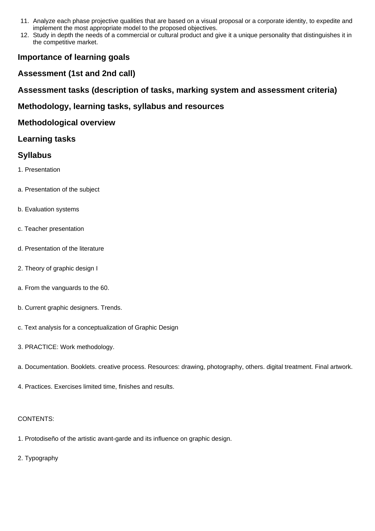- 11. Analyze each phase projective qualities that are based on a visual proposal or a corporate identity, to expedite and implement the most appropriate model to the proposed objectives.
- 12. Study in depth the needs of a commercial or cultural product and give it a unique personality that distinguishes it in the competitive market.

## **Importance of learning goals**

### **Assessment (1st and 2nd call)**

**Assessment tasks (description of tasks, marking system and assessment criteria)**

### **Methodology, learning tasks, syllabus and resources**

### **Methodological overview**

### **Learning tasks**

### **Syllabus**

- 1. Presentation
- a. Presentation of the subject
- b. Evaluation systems
- c. Teacher presentation
- d. Presentation of the literature
- 2. Theory of graphic design I
- a. From the vanguards to the 60.
- b. Current graphic designers. Trends.
- c. Text analysis for a conceptualization of Graphic Design
- 3. PRACTICE: Work methodology.
- a. Documentation. Booklets. creative process. Resources: drawing, photography, others. digital treatment. Final artwork.
- 4. Practices. Exercises limited time, finishes and results.

#### CONTENTS:

- 1. Protodiseño of the artistic avant-garde and its influence on graphic design.
- 2. Typography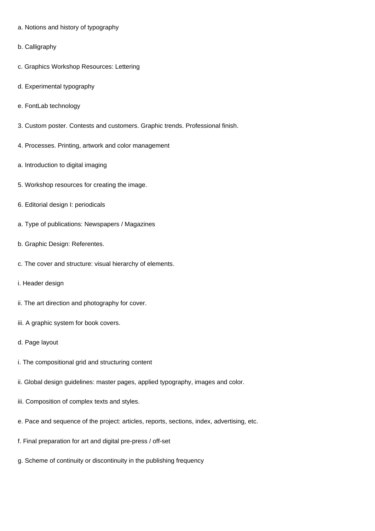- a. Notions and history of typography
- b. Calligraphy
- c. Graphics Workshop Resources: Lettering
- d. Experimental typography
- e. FontLab technology
- 3. Custom poster. Contests and customers. Graphic trends. Professional finish.
- 4. Processes. Printing, artwork and color management
- a. Introduction to digital imaging
- 5. Workshop resources for creating the image.
- 6. Editorial design I: periodicals
- a. Type of publications: Newspapers / Magazines
- b. Graphic Design: Referentes.
- c. The cover and structure: visual hierarchy of elements.
- i. Header design
- ii. The art direction and photography for cover.
- iii. A graphic system for book covers.
- d. Page layout
- i. The compositional grid and structuring content
- ii. Global design guidelines: master pages, applied typography, images and color.
- iii. Composition of complex texts and styles.
- e. Pace and sequence of the project: articles, reports, sections, index, advertising, etc.
- f. Final preparation for art and digital pre-press / off-set
- g. Scheme of continuity or discontinuity in the publishing frequency